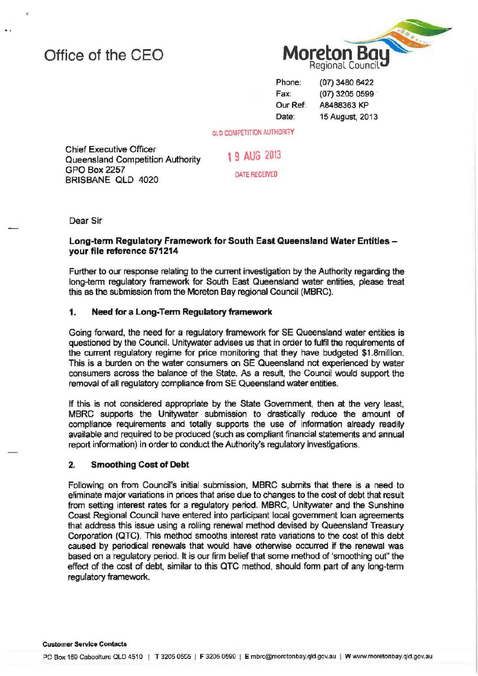# Office of the CEO



Phone: Fax: Our Ref: Date:

(07) 3480 6422 (07) 3205 0599 AB488363 KP 15 August, 2013

OLD COMPETITION AUTHORITY

Chief Executive Officer Queensland Competition Authority GPO Box2257 BRISBANE OLD 4020

DATE RECEIVED

1 9 AUG 2013

Dear Sir

#### Long-term Regulatory Framework for South East Queensland Water Entitles your file reference 571214

Further to our response relating to the current investigation by the Authority regarding the long-term regulatory framework for South East Queensland water entities, please treat this as the submission from the Moreton Bay regional Council (MBRC).

## 1. Need for a Long-Term Regulatory framework

Going forward, the need for a regulatory framework for SE Queensland water entities is questioned by the Council. Unitywater advises us that in order to fulfil the requirements of the current regulatory regime for price monitoring that they have budgeted \$1 .8million. This is a burden on the water consumers on SE Queensland not experienced by water consumers across the balance of the State. As a result, the Council would support the removal of all regulatory compliance from SE Queensland water entities.

If this is not considered appropriate by the State Government, then at the very least, MBRC supports the Unitywater submission to drastically reduce the amount of compliance requirements and totally supports the use of information already readily available and required to be produced (such as compliant financial statements and annual report information) in order to conduct the Authority's regulatory investigations.

### 2. Smoothing Cost of Debt

Following on from Council's initial submission, MBRC submits that there is a need to eliminate major variations in prices that arise due to changes to the cost of debt that result from setting interest rates for a regulatory period. MBRC, Unitywater and the Sunshine Coast Regional Council have entered into participant local government loan agreements that address this issue using a rolling renewal method devised by Queensland Treasury Corporation (QTC). This method smooths interest rate variations to the cost of this debt caused by periodical renewals that would have otherwise occurred if the renewal was based on a regulatory period. It is our firm belief that some method of 'smoothing out" the effect of the cost of debt, similar to this QTC method, should form part of any long-term regulatory framework.

#### Customer Service Contacts